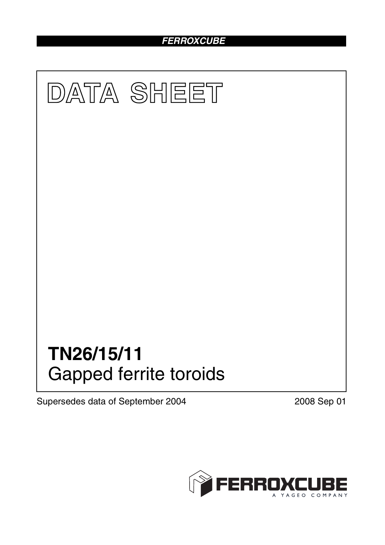# *FERROXCUBE*



Supersedes data of September 2004 2008 Sep 01

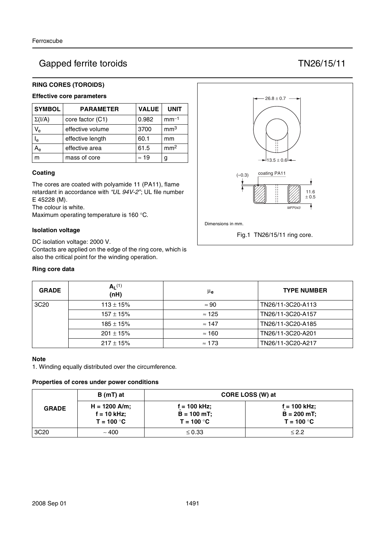## Gapped ferrite toroids TN26/15/11

### **RING CORES (TOROIDS)**

## **Effective core parameters**

| <b>SYMBOL</b>           | <b>PARAMETER</b> | <b>VALUE</b> | <b>UNIT</b>     |
|-------------------------|------------------|--------------|-----------------|
| $\Sigma(I/A)$           | core factor (C1) | 0.982        | $mm-1$          |
| $V_{\rm e}$             | effective volume | 3700         | mm <sup>3</sup> |
| $\mathsf{I}_\mathsf{e}$ | effective length | 60.1         | mm              |
|                         | effective area   | 61.5         | mm <sup>2</sup> |
| m                       | mass of core     | $\approx$ 19 | g               |

#### **Coating**

The cores are coated with polyamide 11 (PA11), flame retardant in accordance with *"UL 94V-2"*; UL file number E 45228 (M).

The colour is white.

Maximum operating temperature is 160 °C.

#### **Isolation voltage**

DC isolation voltage: 2000 V. Contacts are applied on the edge of the ring core, which is also the critical point for the winding operation.

#### **Ring core data**



| <b>GRADE</b>     | $A1$ (1)<br>(nH) | $\mu_{\mathbf{e}}$ | <b>TYPE NUMBER</b> |
|------------------|------------------|--------------------|--------------------|
| 3C <sub>20</sub> | $113 \pm 15\%$   | $\approx 90$       | TN26/11-3C20-A113  |
|                  | $157 \pm 15%$    | $\approx$ 125      | TN26/11-3C20-A157  |
|                  | $185 \pm 15\%$   | $\approx$ 147      | TN26/11-3C20-A185  |
|                  | $201 \pm 15\%$   | $\approx$ 160      | TN26/11-3C20-A201  |
|                  | $217 \pm 15\%$   | $\approx$ 173      | TN26/11-3C20-A217  |

#### **Note**

1. Winding equally distributed over the circumference.

#### **Properties of cores under power conditions**

|                  | B (mT) at                     | CORE LOSS (W) at              |                               |  |
|------------------|-------------------------------|-------------------------------|-------------------------------|--|
| <b>GRADE</b>     | $H = 1200$ A/m;               | $f = 100$ kHz;                | $f = 100$ kHz;                |  |
|                  | $f = 10$ kHz;<br>$T = 100 °C$ | $B = 100$ mT;<br>$T = 100 °C$ | $B = 200$ mT;<br>$T = 100 °C$ |  |
| 3C <sub>20</sub> | ~100                          | $\leq 0.33$                   | $\leq$ 2.2                    |  |